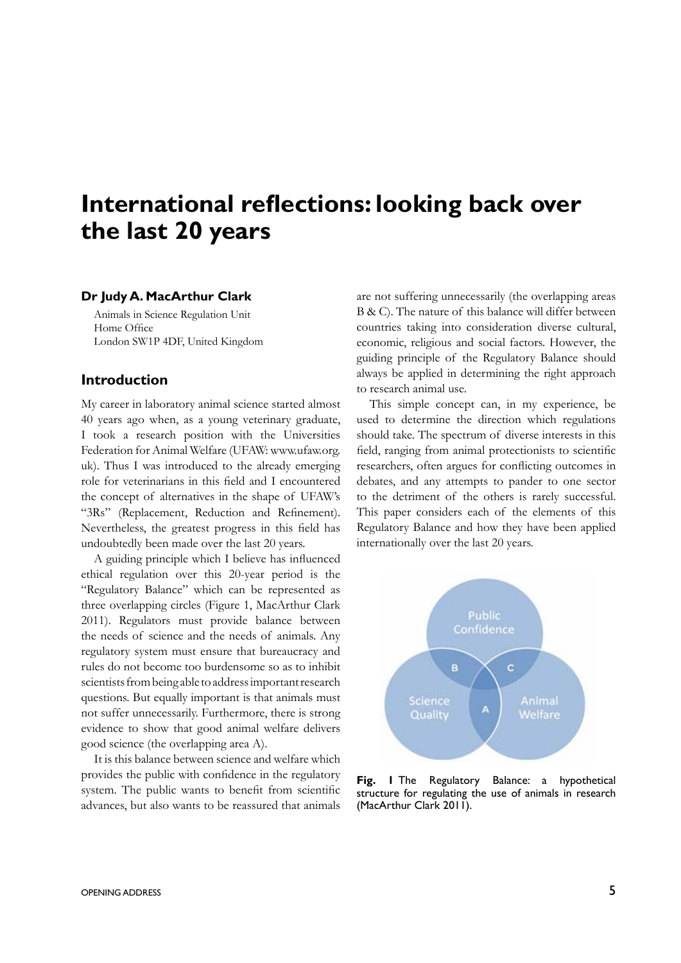# **International reflections: looking back over the last 20 years**

#### **Dr Judy A. MacArthur Clark**

Animals in Science Regulation Unit Home Office London SW1P 4DF, United Kingdom

#### **Introduction**

My career in laboratory animal science started almost 40 years ago when, as a young veterinary graduate, I took a research position with the Universities Federation for Animal Welfare (UFAW: www.ufaw.org. uk). Thus I was introduced to the already emerging role for veterinarians in this field and I encountered the concept of alternatives in the shape of UFAW's "3Rs" (Replacement, Reduction and Refinement). Nevertheless, the greatest progress in this field has undoubtedly been made over the last 20 years.

A guiding principle which I believe has influenced ethical regulation over this 20-year period is the "Regulatory Balance" which can be represented as three overlapping circles (Figure 1, MacArthur Clark 2011). Regulators must provide balance between the needs of science and the needs of animals. Any regulatory system must ensure that bureaucracy and rules do not become too burdensome so as to inhibit scientists from being able to address important research questions. But equally important is that animals must not suffer unnecessarily. Furthermore, there is strong evidence to show that good animal welfare delivers good science (the overlapping area A).

It is this balance between science and welfare which provides the public with confidence in the regulatory system. The public wants to benefit from scientific advances, but also wants to be reassured that animals

are not suffering unnecessarily (the overlapping areas B & C). The nature of this balance will differ between countries taking into consideration diverse cultural, economic, religious and social factors. However, the guiding principle of the Regulatory Balance should always be applied in determining the right approach to research animal use.

This simple concept can, in my experience, be used to determine the direction which regulations should take. The spectrum of diverse interests in this field, ranging from animal protectionists to scientific researchers, often argues for conflicting outcomes in debates, and any attempts to pander to one sector to the detriment of the others is rarely successful. This paper considers each of the elements of this Regulatory Balance and how they have been applied internationally over the last 20 years.



**Fig. 1** The Regulatory Balance: a hypothetical structure for regulating the use of animals in research (MacArthur Clark 2011).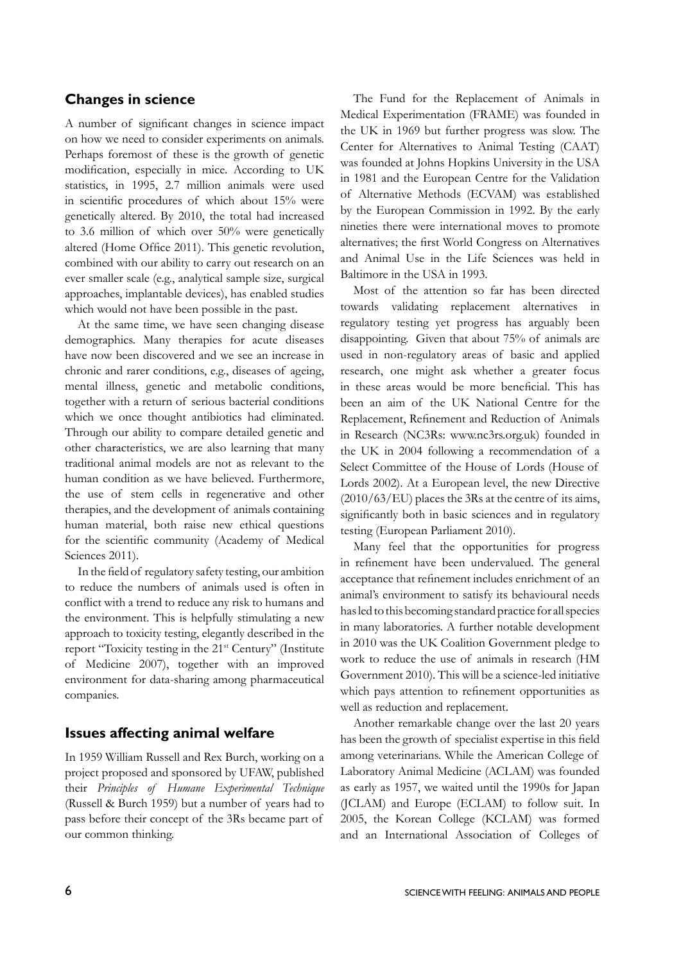### **Changes in science**

A number of significant changes in science impact on how we need to consider experiments on animals. Perhaps foremost of these is the growth of genetic modification, especially in mice. According to UK statistics, in 1995, 2.7 million animals were used in scientific procedures of which about 15% were genetically altered. By 2010, the total had increased to 3.6 million of which over 50% were genetically altered (Home Office 2011). This genetic revolution, combined with our ability to carry out research on an ever smaller scale (e.g., analytical sample size, surgical approaches, implantable devices), has enabled studies which would not have been possible in the past.

At the same time, we have seen changing disease demographics. Many therapies for acute diseases have now been discovered and we see an increase in chronic and rarer conditions, e.g., diseases of ageing, mental illness, genetic and metabolic conditions, together with a return of serious bacterial conditions which we once thought antibiotics had eliminated. Through our ability to compare detailed genetic and other characteristics, we are also learning that many traditional animal models are not as relevant to the human condition as we have believed. Furthermore, the use of stem cells in regenerative and other therapies, and the development of animals containing human material, both raise new ethical questions for the scientific community (Academy of Medical Sciences 2011).

In the field of regulatory safety testing, our ambition to reduce the numbers of animals used is often in conflict with a trend to reduce any risk to humans and the environment. This is helpfully stimulating a new approach to toxicity testing, elegantly described in the report "Toxicity testing in the 21<sup>st</sup> Century" (Institute of Medicine 2007), together with an improved environment for data-sharing among pharmaceutical companies.

#### **Issues affecting animal welfare**

In 1959 William Russell and Rex Burch, working on a project proposed and sponsored by UFAW, published their *Principles of Humane Experimental Technique* (Russell & Burch 1959) but a number of years had to pass before their concept of the 3Rs became part of our common thinking.

The Fund for the Replacement of Animals in Medical Experimentation (FRAME) was founded in the UK in 1969 but further progress was slow. The Center for Alternatives to Animal Testing (CAAT) was founded at Johns Hopkins University in the USA in 1981 and the European Centre for the Validation of Alternative Methods (ECVAM) was established by the European Commission in 1992. By the early nineties there were international moves to promote alternatives; the first World Congress on Alternatives and Animal Use in the Life Sciences was held in Baltimore in the USA in 1993.

Most of the attention so far has been directed towards validating replacement alternatives in regulatory testing yet progress has arguably been disappointing. Given that about 75% of animals are used in non-regulatory areas of basic and applied research, one might ask whether a greater focus in these areas would be more beneficial. This has been an aim of the UK National Centre for the Replacement, Refinement and Reduction of Animals in Research (NC3Rs: www.nc3rs.org.uk) founded in the UK in 2004 following a recommendation of a Select Committee of the House of Lords (House of Lords 2002). At a European level, the new Directive  $(2010/63/EU)$  places the 3Rs at the centre of its aims, significantly both in basic sciences and in regulatory testing (European Parliament 2010).

Many feel that the opportunities for progress in refinement have been undervalued. The general acceptance that refinement includes enrichment of an animal's environment to satisfy its behavioural needs has led to this becoming standard practice for all species in many laboratories. A further notable development in 2010 was the UK Coalition Government pledge to work to reduce the use of animals in research (HM Government 2010). This will be a science-led initiative which pays attention to refinement opportunities as well as reduction and replacement.

Another remarkable change over the last 20 years has been the growth of specialist expertise in this field among veterinarians. While the American College of Laboratory Animal Medicine (ACLAM) was founded as early as 1957, we waited until the 1990s for Japan (JCLAM) and Europe (ECLAM) to follow suit. In 2005, the Korean College (KCLAM) was formed and an International Association of Colleges of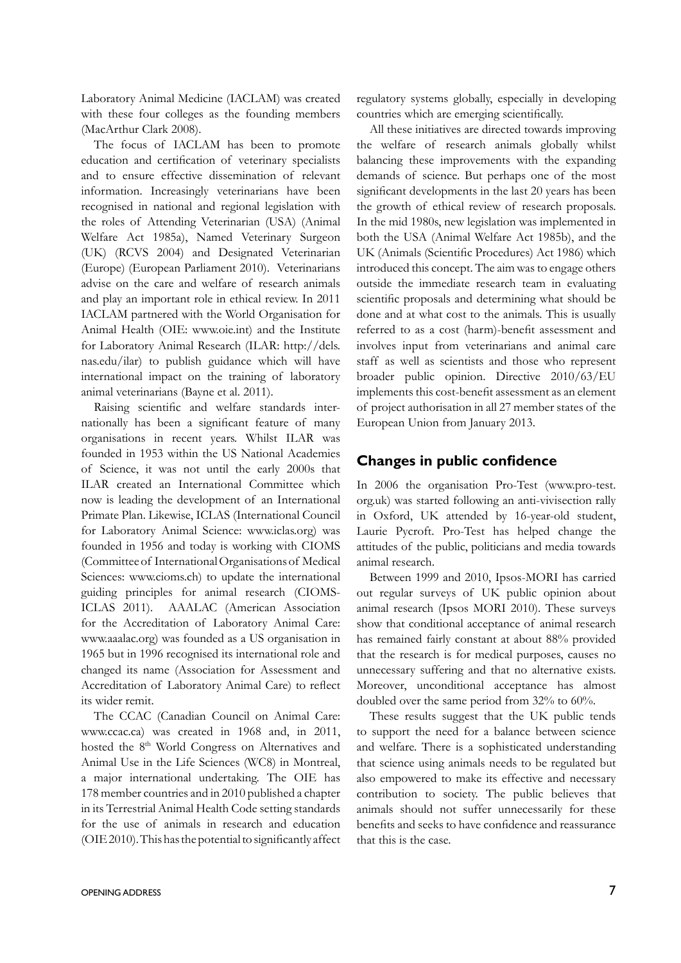Laboratory Animal Medicine (IACLAM) was created with these four colleges as the founding members (MacArthur Clark 2008).

The focus of IACLAM has been to promote education and certification of veterinary specialists and to ensure effective dissemination of relevant information. Increasingly veterinarians have been recognised in national and regional legislation with the roles of Attending Veterinarian (USA) (Animal Welfare Act 1985a), Named Veterinary Surgeon (UK) (RCVS 2004) and Designated Veterinarian (Europe) (European Parliament 2010). Veterinarians advise on the care and welfare of research animals and play an important role in ethical review. In 2011 IACLAM partnered with the World Organisation for Animal Health (OIE: www.oie.int) and the Institute for Laboratory Animal Research (ILAR: http://dels. nas.edu/ilar) to publish guidance which will have international impact on the training of laboratory animal veterinarians (Bayne et al. 2011).

Raising scientific and welfare standards internationally has been a significant feature of many organisations in recent years. Whilst ILAR was founded in 1953 within the US National Academies of Science, it was not until the early 2000s that ILAR created an International Committee which now is leading the development of an International Primate Plan. Likewise, ICLAS (International Council for Laboratory Animal Science: www.iclas.org) was founded in 1956 and today is working with CIOMS (Committee of International Organisations of Medical Sciences: www.cioms.ch) to update the international guiding principles for animal research (CIOMS-ICLAS 2011). AAALAC (American Association for the Accreditation of Laboratory Animal Care: www.aaalac.org) was founded as a US organisation in 1965 but in 1996 recognised its international role and changed its name (Association for Assessment and Accreditation of Laboratory Animal Care) to reflect its wider remit.

The CCAC (Canadian Council on Animal Care: www.ccac.ca) was created in 1968 and, in 2011, hosted the 8<sup>th</sup> World Congress on Alternatives and Animal Use in the Life Sciences (WC8) in Montreal, a major international undertaking. The OIE has 178 member countries and in 2010 published a chapter in its Terrestrial Animal Health Code setting standards for the use of animals in research and education (OIE 2010). This has the potential to significantly affect regulatory systems globally, especially in developing countries which are emerging scientifically.

All these initiatives are directed towards improving the welfare of research animals globally whilst balancing these improvements with the expanding demands of science. But perhaps one of the most significant developments in the last 20 years has been the growth of ethical review of research proposals. In the mid 1980s, new legislation was implemented in both the USA (Animal Welfare Act 1985b), and the UK (Animals (Scientific Procedures) Act 1986) which introduced this concept. The aim was to engage others outside the immediate research team in evaluating scientific proposals and determining what should be done and at what cost to the animals. This is usually referred to as a cost (harm)-benefit assessment and involves input from veterinarians and animal care staff as well as scientists and those who represent broader public opinion. Directive 2010/63/EU implements this cost-benefit assessment as an element of project authorisation in all 27 member states of the European Union from January 2013.

#### **Changes in public confidence**

In 2006 the organisation Pro-Test (www.pro-test. org.uk) was started following an anti-vivisection rally in Oxford, UK attended by 16-year-old student, Laurie Pycroft. Pro-Test has helped change the attitudes of the public, politicians and media towards animal research.

Between 1999 and 2010, Ipsos-MORI has carried out regular surveys of UK public opinion about animal research (Ipsos MORI 2010). These surveys show that conditional acceptance of animal research has remained fairly constant at about 88% provided that the research is for medical purposes, causes no unnecessary suffering and that no alternative exists. Moreover, unconditional acceptance has almost doubled over the same period from 32% to 60%.

These results suggest that the UK public tends to support the need for a balance between science and welfare. There is a sophisticated understanding that science using animals needs to be regulated but also empowered to make its effective and necessary contribution to society. The public believes that animals should not suffer unnecessarily for these benefits and seeks to have confidence and reassurance that this is the case.